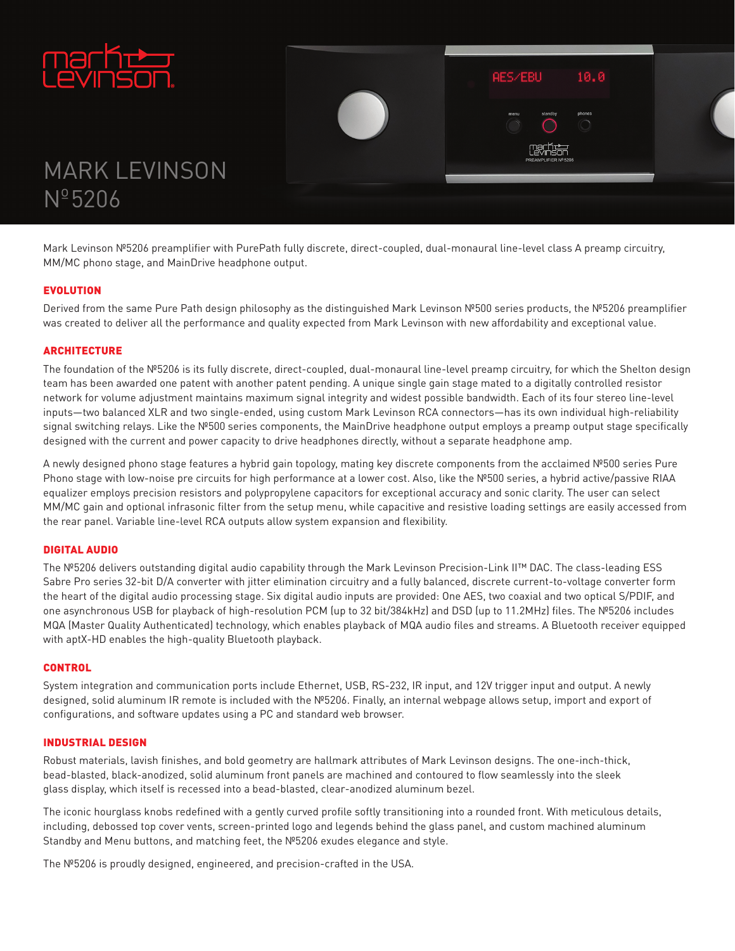



# **MARK LEVINSON**  $N^{\circ}$ 5206

Mark Levinson Nº5206 preamplifier with PurePath fully discrete, direct-coupled, dual-monaural line-level class A preamp circuitry, MM/MC phono stage, and MainDrive headphone output.

## EVOLUTION

Derived from the same Pure Path design philosophy as the distinguished Mark Levinson №500 series products, the №5206 preamplifier was created to deliver all the performance and quality expected from Mark Levinson with new affordability and exceptional value.

## **ARCHITECTURE**

The foundation of the Nº5206 is its fully discrete, direct-coupled, dual-monaural line-level preamp circuitry, for which the Shelton design team has been awarded one patent with another patent pending. A unique single gain stage mated to a digitally controlled resistor network for volume adjustment maintains maximum signal integrity and widest possible bandwidth. Each of its four stereo line-level inputs-two balanced XLR and two single-ended, using custom Mark Levinson RCA connectors-has its own individual high-reliability signal switching relays. Like the Nº500 series components, the MainDrive headphone output employs a preamp output stage specifically designed with the current and power capacity to drive headphones directly, without a separate headphone amp.

A newly designed phono stage features a hybrid gain topology, mating key discrete components from the acclaimed №500 series Pure Phono stage with low-noise pre circuits for high performance at a lower cost. Also, like the Nº500 series, a hybrid active/passive RIAA equalizer employs precision resistors and polypropylene capacitors for exceptional accuracy and sonic clarity. The user can select MM/MC gain and optional infrasonic filter from the setup menu, while capacitive and resistive loading settings are easily accessed from the rear panel. Variable line-level RCA outputs allow system expansion and flexibility.

#### **DIGITAL AUDIO**

The Nº5206 delivers outstanding digital audio capability through the Mark Levinson Precision-Link II™ DAC. The class-leading ESS Sabre Pro series 32-bit D/A converter with jitter elimination circuitry and a fully balanced, discrete current-to-voltage converter form the heart of the digital audio processing stage. Six digital audio inputs are provided: One AES, two coaxial and two optical S/PDIF, and one asynchronous USB for playback of high-resolution PCM (up to 32 bit/384kHz) and DSD (up to 11.2MHz) files. The №5206 includes MQA (Master Quality Authenticated) technology, which enables playback of MQA audio files and streams. A Bluetooth receiver equipped with aptX-HD enables the high-quality Bluetooth playback.

#### **CONTROL**

System integration and communication ports include Ethernet, USB, RS-232, IR input, and 12V trigger input and output. A newly designed, solid aluminum IR remote is included with the Nº5206. Finally, an internal webpage allows setup, import and export of configurations, and software updates using a PC and standard web browser.

#### **INDUSTRIAL DESIGN**

Robust materials, lavish finishes, and bold geometry are hallmark attributes of Mark Levinson designs. The one-inch-thick, bead-blasted, black-anodized, solid aluminum front panels are machined and contoured to flow seamlessly into the sleek glass display, which itself is recessed into a bead-blasted, clear-anodized aluminum bezel.

The iconic hourglass knobs redefined with a gently curved profile softly transitioning into a rounded front. With meticulous details, including, debossed top cover vents, screen-printed logo and legends behind the glass panel, and custom machined aluminum Standby and Menu buttons, and matching feet, the  $N<sup>9</sup>5206$  exudes elegance and style.

The Nº5206 is proudly designed, engineered, and precision-crafted in the USA.